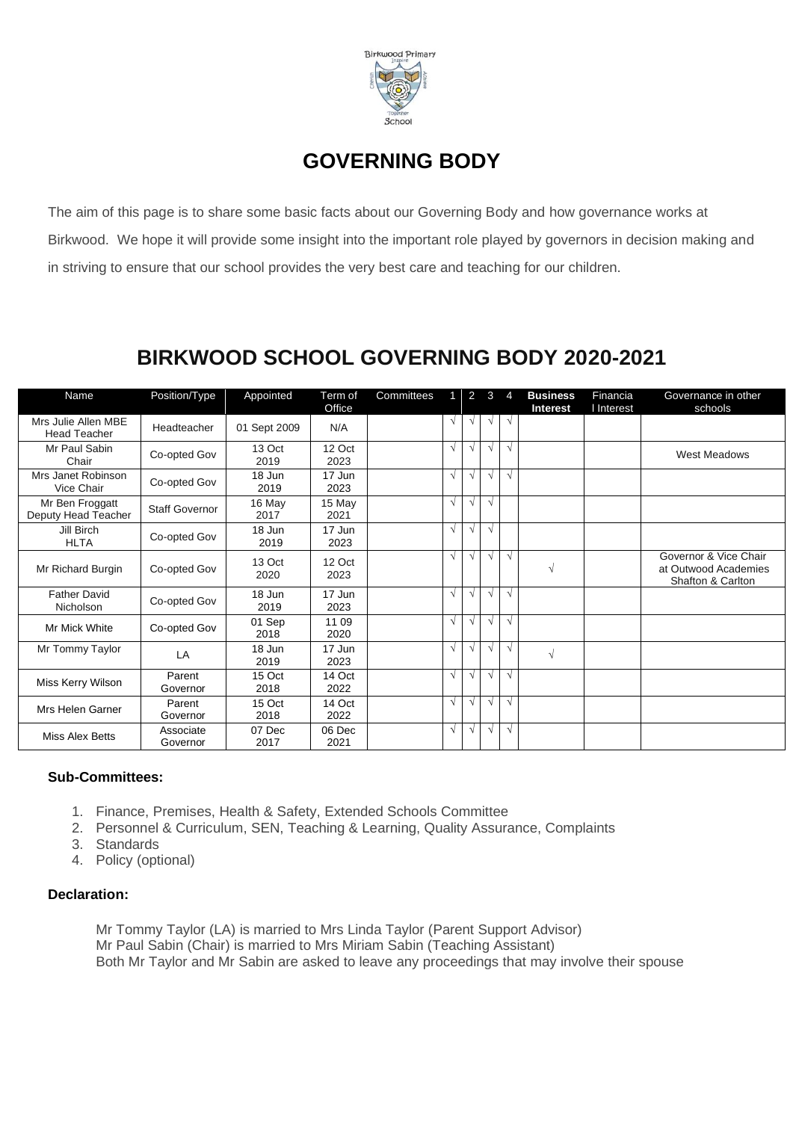

### **GOVERNING BODY**

The aim of this page is to share some basic facts about our Governing Body and how governance works at Birkwood. We hope it will provide some insight into the important role played by governors in decision making and in striving to ensure that our school provides the very best care and teaching for our children.

### **BIRKWOOD SCHOOL GOVERNING BODY 2020-2021**

| Name                                       | Position/Type         | Appointed      | Term of<br>Office | Committees |            | 2          | 3          | 4          | <b>Business</b><br><b>Interest</b> | Financia<br>I Interest | Governance in other<br>schools                                     |
|--------------------------------------------|-----------------------|----------------|-------------------|------------|------------|------------|------------|------------|------------------------------------|------------------------|--------------------------------------------------------------------|
| Mrs Julie Allen MBE<br><b>Head Teacher</b> | Headteacher           | 01 Sept 2009   | N/A               |            | $\sqrt{ }$ | $\sqrt{ }$ | $\sqrt{ }$ | $\sqrt{ }$ |                                    |                        |                                                                    |
| Mr Paul Sabin<br>Chair                     | Co-opted Gov          | 13 Oct<br>2019 | 12 Oct<br>2023    |            | $\sqrt{ }$ | $\sqrt{ }$ | $\sqrt{ }$ | $\sqrt{ }$ |                                    |                        | <b>West Meadows</b>                                                |
| Mrs Janet Robinson<br>Vice Chair           | Co-opted Gov          | 18 Jun<br>2019 | 17 Jun<br>2023    |            | V          | $\sqrt{ }$ | $\sqrt{ }$ | $\sqrt{ }$ |                                    |                        |                                                                    |
| Mr Ben Froggatt<br>Deputy Head Teacher     | <b>Staff Governor</b> | 16 May<br>2017 | 15 May<br>2021    |            | $\sqrt{ }$ | $\sqrt{ }$ | $\sqrt{ }$ |            |                                    |                        |                                                                    |
| Jill Birch<br><b>HLTA</b>                  | Co-opted Gov          | 18 Jun<br>2019 | 17 Jun<br>2023    |            | $\sqrt{ }$ | $\sqrt{ }$ | $\sqrt{ }$ |            |                                    |                        |                                                                    |
| Mr Richard Burgin                          | Co-opted Gov          | 13 Oct<br>2020 | 12 Oct<br>2023    |            | $\sqrt{ }$ | $\sqrt{ }$ | $\sqrt{ }$ | $\sqrt{ }$ | $\sqrt{}$                          |                        | Governor & Vice Chair<br>at Outwood Academies<br>Shafton & Carlton |
| <b>Father David</b><br>Nicholson           | Co-opted Gov          | 18 Jun<br>2019 | 17 Jun<br>2023    |            | V          | $\sqrt{ }$ | $\sqrt{ }$ | $\sqrt{ }$ |                                    |                        |                                                                    |
| Mr Mick White                              | Co-opted Gov          | 01 Sep<br>2018 | 11 09<br>2020     |            | V          | $\sqrt{ }$ | $\sqrt{ }$ | $\sqrt{ }$ |                                    |                        |                                                                    |
| Mr Tommy Taylor                            | LA                    | 18 Jun<br>2019 | 17 Jun<br>2023    |            | V          | $\sqrt{ }$ | $\sqrt{ }$ | $\sqrt{ }$ | $\sqrt{ }$                         |                        |                                                                    |
| Miss Kerry Wilson                          | Parent<br>Governor    | 15 Oct<br>2018 | 14 Oct<br>2022    |            | $\sqrt{ }$ | $\sqrt{ }$ | $\sqrt{ }$ | $\sqrt{ }$ |                                    |                        |                                                                    |
| Mrs Helen Garner                           | Parent<br>Governor    | 15 Oct<br>2018 | 14 Oct<br>2022    |            | $\sqrt{ }$ | $\sqrt{ }$ | $\sqrt{ }$ | $\sqrt{ }$ |                                    |                        |                                                                    |
| Miss Alex Betts                            | Associate<br>Governor | 07 Dec<br>2017 | 06 Dec<br>2021    |            | $\sqrt{ }$ | $\sqrt{ }$ | $\sqrt{ }$ | $\sqrt{ }$ |                                    |                        |                                                                    |

### **Sub-Committees:**

- 1. Finance, Premises, Health & Safety, Extended Schools Committee
- 2. Personnel & Curriculum, SEN, Teaching & Learning, Quality Assurance, Complaints
- 3. Standards
- 4. Policy (optional)

#### **Declaration:**

Mr Tommy Taylor (LA) is married to Mrs Linda Taylor (Parent Support Advisor) Mr Paul Sabin (Chair) is married to Mrs Miriam Sabin (Teaching Assistant) Both Mr Taylor and Mr Sabin are asked to leave any proceedings that may involve their spouse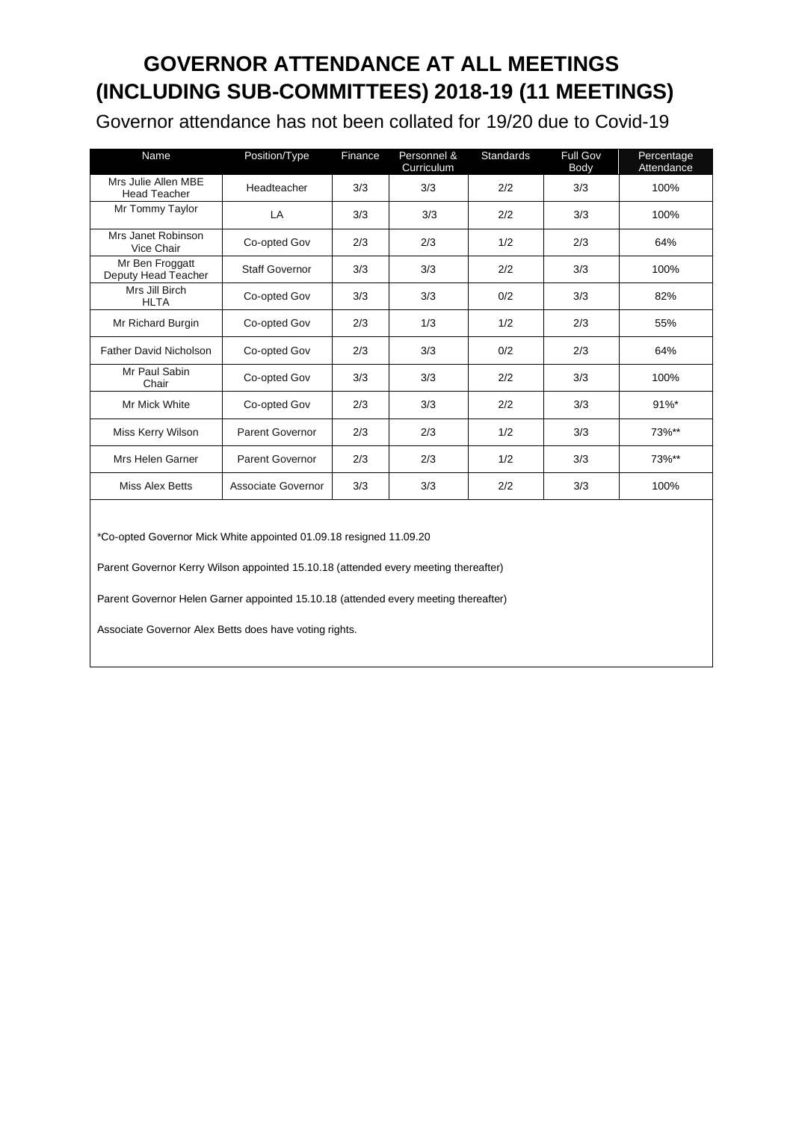# **GOVERNOR ATTENDANCE AT ALL MEETINGS (INCLUDING SUB-COMMITTEES) 2018-19 (11 MEETINGS)**

Governor attendance has not been collated for 19/20 due to Covid-19

| Name                                       | Position/Type         | Finance | Personnel &<br>Curriculum | <b>Standards</b> | <b>Full Gov</b><br>Body | Percentage<br>Attendance |
|--------------------------------------------|-----------------------|---------|---------------------------|------------------|-------------------------|--------------------------|
| Mrs Julie Allen MBE<br><b>Head Teacher</b> | Headteacher           | 3/3     | 3/3                       | 2/2              | 3/3                     | 100%                     |
| Mr Tommy Taylor                            | LA                    | 3/3     | 3/3                       | 2/2              | 3/3                     | 100%                     |
| Mrs Janet Robinson<br>Vice Chair           | Co-opted Gov          | 2/3     | 2/3                       | 1/2              | 2/3                     | 64%                      |
| Mr Ben Froggatt<br>Deputy Head Teacher     | <b>Staff Governor</b> | 3/3     | 3/3                       | 2/2              | 3/3                     | 100%                     |
| Mrs Jill Birch<br><b>HLTA</b>              | Co-opted Gov          | 3/3     | 3/3                       | 0/2              | 3/3                     | 82%                      |
| Mr Richard Burgin                          | Co-opted Gov          | 2/3     | 1/3                       | 1/2              | 2/3                     | 55%                      |
| <b>Father David Nicholson</b>              | Co-opted Gov          | 2/3     | 3/3                       | 0/2              | 2/3                     | 64%                      |
| Mr Paul Sabin<br>Chair                     | Co-opted Gov          | 3/3     | 3/3                       | 2/2              | 3/3                     | 100%                     |
| Mr Mick White                              | Co-opted Gov          | 2/3     | 3/3                       | 2/2              | 3/3                     | $91\%$ *                 |
| Miss Kerry Wilson                          | Parent Governor       | 2/3     | 2/3                       | 1/2              | 3/3                     | 73%**                    |
| Mrs Helen Garner                           | Parent Governor       | 2/3     | 2/3                       | 1/2              | 3/3                     | 73%**                    |
| Miss Alex Betts                            | Associate Governor    | 3/3     | 3/3                       | 2/2              | 3/3                     | 100%                     |

\*Co-opted Governor Mick White appointed 01.09.18 resigned 11.09.20

Parent Governor Kerry Wilson appointed 15.10.18 (attended every meeting thereafter)

Parent Governor Helen Garner appointed 15.10.18 (attended every meeting thereafter)

Associate Governor Alex Betts does have voting rights.